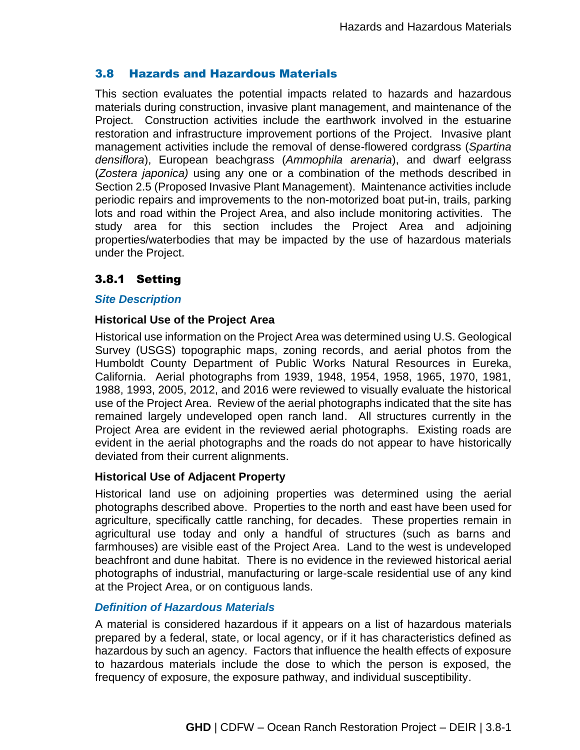# 3.8 Hazards and Hazardous Materials

This section evaluates the potential impacts related to hazards and hazardous materials during construction, invasive plant management, and maintenance of the Project. Construction activities include the earthwork involved in the estuarine restoration and infrastructure improvement portions of the Project. Invasive plant management activities include the removal of dense-flowered cordgrass (*Spartina densiflora*), European beachgrass (*Ammophila arenaria*), and dwarf eelgrass (*Zostera japonica)* using any one or a combination of the methods described in Section 2.5 (Proposed Invasive Plant Management). Maintenance activities include periodic repairs and improvements to the non-motorized boat put-in, trails, parking lots and road within the Project Area, and also include monitoring activities. The study area for this section includes the Project Area and adjoining properties/waterbodies that may be impacted by the use of hazardous materials under the Project.

# 3.8.1 Setting

#### *Site Description*

#### **Historical Use of the Project Area**

Historical use information on the Project Area was determined using U.S. Geological Survey (USGS) topographic maps, zoning records, and aerial photos from the Humboldt County Department of Public Works Natural Resources in Eureka, California. Aerial photographs from 1939, 1948, 1954, 1958, 1965, 1970, 1981, 1988, 1993, 2005, 2012, and 2016 were reviewed to visually evaluate the historical use of the Project Area. Review of the aerial photographs indicated that the site has remained largely undeveloped open ranch land. All structures currently in the Project Area are evident in the reviewed aerial photographs. Existing roads are evident in the aerial photographs and the roads do not appear to have historically deviated from their current alignments.

#### **Historical Use of Adjacent Property**

Historical land use on adjoining properties was determined using the aerial photographs described above. Properties to the north and east have been used for agriculture, specifically cattle ranching, for decades. These properties remain in agricultural use today and only a handful of structures (such as barns and farmhouses) are visible east of the Project Area. Land to the west is undeveloped beachfront and dune habitat. There is no evidence in the reviewed historical aerial photographs of industrial, manufacturing or large-scale residential use of any kind at the Project Area, or on contiguous lands.

#### *Definition of Hazardous Materials*

A material is considered hazardous if it appears on a list of hazardous materials prepared by a federal, state, or local agency, or if it has characteristics defined as hazardous by such an agency. Factors that influence the health effects of exposure to hazardous materials include the dose to which the person is exposed, the frequency of exposure, the exposure pathway, and individual susceptibility.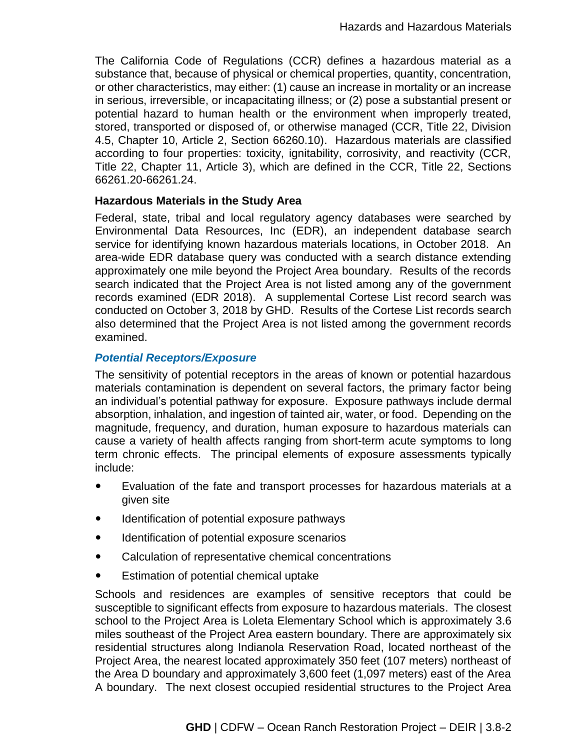The California Code of Regulations (CCR) defines a hazardous material as a substance that, because of physical or chemical properties, quantity, concentration, or other characteristics, may either: (1) cause an increase in mortality or an increase in serious, irreversible, or incapacitating illness; or (2) pose a substantial present or potential hazard to human health or the environment when improperly treated, stored, transported or disposed of, or otherwise managed (CCR, Title 22, Division 4.5, Chapter 10, Article 2, Section 66260.10). Hazardous materials are classified according to four properties: toxicity, ignitability, corrosivity, and reactivity (CCR, Title 22, Chapter 11, Article 3), which are defined in the CCR, Title 22, Sections 66261.20-66261.24.

#### **Hazardous Materials in the Study Area**

Federal, state, tribal and local regulatory agency databases were searched by Environmental Data Resources, Inc (EDR), an independent database search service for identifying known hazardous materials locations, in October 2018. An area-wide EDR database query was conducted with a search distance extending approximately one mile beyond the Project Area boundary. Results of the records search indicated that the Project Area is not listed among any of the government records examined (EDR 2018). A supplemental Cortese List record search was conducted on October 3, 2018 by GHD. Results of the Cortese List records search also determined that the Project Area is not listed among the government records examined.

#### *Potential Receptors/Exposure*

The sensitivity of potential receptors in the areas of known or potential hazardous materials contamination is dependent on several factors, the primary factor being an individual's potential pathway for exposure. Exposure pathways include dermal absorption, inhalation, and ingestion of tainted air, water, or food. Depending on the magnitude, frequency, and duration, human exposure to hazardous materials can cause a variety of health affects ranging from short-term acute symptoms to long term chronic effects. The principal elements of exposure assessments typically include:

- Evaluation of the fate and transport processes for hazardous materials at a given site
- Identification of potential exposure pathways
- Identification of potential exposure scenarios
- Calculation of representative chemical concentrations
- Estimation of potential chemical uptake

Schools and residences are examples of sensitive receptors that could be susceptible to significant effects from exposure to hazardous materials. The closest school to the Project Area is Loleta Elementary School which is approximately 3.6 miles southeast of the Project Area eastern boundary. There are approximately six residential structures along Indianola Reservation Road, located northeast of the Project Area, the nearest located approximately 350 feet (107 meters) northeast of the Area D boundary and approximately 3,600 feet (1,097 meters) east of the Area A boundary. The next closest occupied residential structures to the Project Area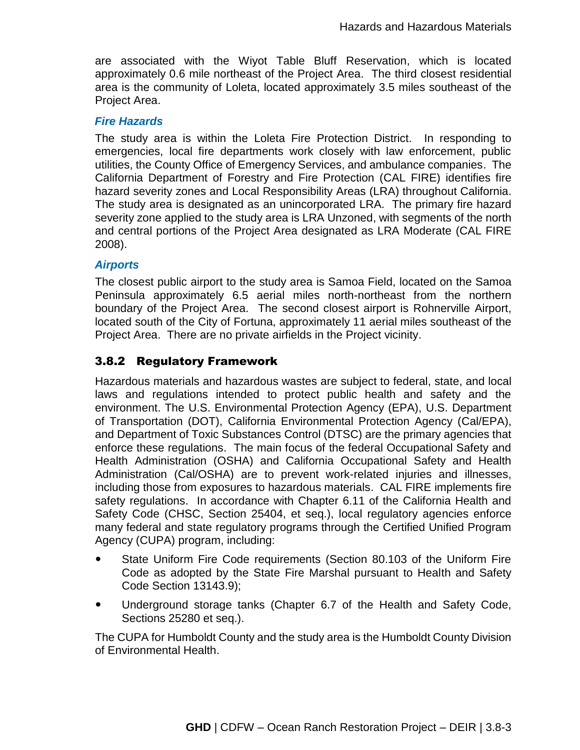are associated with the Wiyot Table Bluff Reservation, which is located approximately 0.6 mile northeast of the Project Area. The third closest residential area is the community of Loleta, located approximately 3.5 miles southeast of the Project Area.

# *Fire Hazards*

The study area is within the Loleta Fire Protection District. In responding to emergencies, local fire departments work closely with law enforcement, public utilities, the County Office of Emergency Services, and ambulance companies. The California Department of Forestry and Fire Protection (CAL FIRE) identifies fire hazard severity zones and Local Responsibility Areas (LRA) throughout California. The study area is designated as an unincorporated LRA. The primary fire hazard severity zone applied to the study area is LRA Unzoned, with segments of the north and central portions of the Project Area designated as LRA Moderate (CAL FIRE 2008).

#### *Airports*

The closest public airport to the study area is Samoa Field, located on the Samoa Peninsula approximately 6.5 aerial miles north-northeast from the northern boundary of the Project Area. The second closest airport is Rohnerville Airport, located south of the City of Fortuna, approximately 11 aerial miles southeast of the Project Area. There are no private airfields in the Project vicinity.

# 3.8.2 Regulatory Framework

Hazardous materials and hazardous wastes are subject to federal, state, and local laws and regulations intended to protect public health and safety and the environment. The U.S. Environmental Protection Agency (EPA), U.S. Department of Transportation (DOT), California Environmental Protection Agency (Cal/EPA), and Department of Toxic Substances Control (DTSC) are the primary agencies that enforce these regulations. The main focus of the federal Occupational Safety and Health Administration (OSHA) and California Occupational Safety and Health Administration (Cal/OSHA) are to prevent work-related injuries and illnesses, including those from exposures to hazardous materials. CAL FIRE implements fire safety regulations. In accordance with Chapter 6.11 of the California Health and Safety Code (CHSC, Section 25404, et seq.), local regulatory agencies enforce many federal and state regulatory programs through the Certified Unified Program Agency (CUPA) program, including:

- State Uniform Fire Code requirements (Section 80.103 of the Uniform Fire Code as adopted by the State Fire Marshal pursuant to Health and Safety Code Section 13143.9);
- Underground storage tanks (Chapter 6.7 of the Health and Safety Code, Sections 25280 et seq.).

The CUPA for Humboldt County and the study area is the Humboldt County Division of Environmental Health.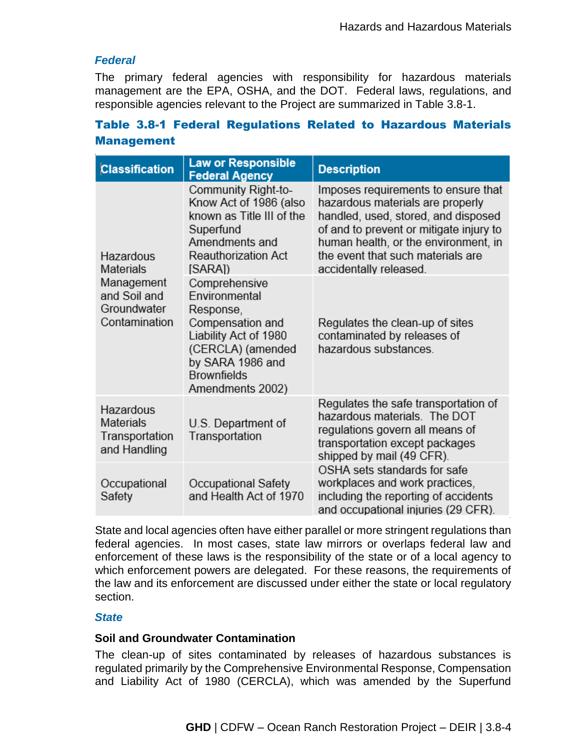#### *Federal*

The primary federal agencies with responsibility for hazardous materials management are the EPA, OSHA, and the DOT. Federal laws, regulations, and responsible agencies relevant to the Project are summarized in Table 3.8-1.

# Table 3.8-1 Federal Regulations Related to Hazardous Materials Management

| <b>Classification</b>                                                                | <b>Law or Responsible</b><br><b>Federal Agency</b>                                                                                                                          | <b>Description</b>                                                                                                                                                                                                                                               |
|--------------------------------------------------------------------------------------|-----------------------------------------------------------------------------------------------------------------------------------------------------------------------------|------------------------------------------------------------------------------------------------------------------------------------------------------------------------------------------------------------------------------------------------------------------|
| Hazardous<br>Materials<br>Management<br>and Soil and<br>Groundwater<br>Contamination | Community Right-to-<br>Know Act of 1986 (also<br>known as Title III of the<br>Superfund<br>Amendments and<br><b>Reauthorization Act</b><br>[SARA])                          | Imposes requirements to ensure that<br>hazardous materials are properly<br>handled, used, stored, and disposed<br>of and to prevent or mitigate injury to<br>human health, or the environment, in<br>the event that such materials are<br>accidentally released. |
|                                                                                      | Comprehensive<br>Environmental<br>Response,<br>Compensation and<br>Liability Act of 1980<br>(CERCLA) (amended<br>by SARA 1986 and<br><b>Brownfields</b><br>Amendments 2002) | Regulates the clean-up of sites<br>contaminated by releases of<br>hazardous substances.                                                                                                                                                                          |
| Hazardous<br>Materials<br>Transportation<br>and Handling                             | U.S. Department of<br>Transportation                                                                                                                                        | Regulates the safe transportation of<br>hazardous materials. The DOT<br>regulations govern all means of<br>transportation except packages<br>shipped by mail (49 CFR).                                                                                           |
| Occupational<br>Safety                                                               | Occupational Safety<br>and Health Act of 1970                                                                                                                               | OSHA sets standards for safe<br>workplaces and work practices,<br>including the reporting of accidents<br>and occupational injuries (29 CFR).                                                                                                                    |

State and local agencies often have either parallel or more stringent regulations than federal agencies. In most cases, state law mirrors or overlaps federal law and enforcement of these laws is the responsibility of the state or of a local agency to which enforcement powers are delegated. For these reasons, the requirements of the law and its enforcement are discussed under either the state or local regulatory section.

# *State*

#### **Soil and Groundwater Contamination**

The clean-up of sites contaminated by releases of hazardous substances is regulated primarily by the Comprehensive Environmental Response, Compensation and Liability Act of 1980 (CERCLA), which was amended by the Superfund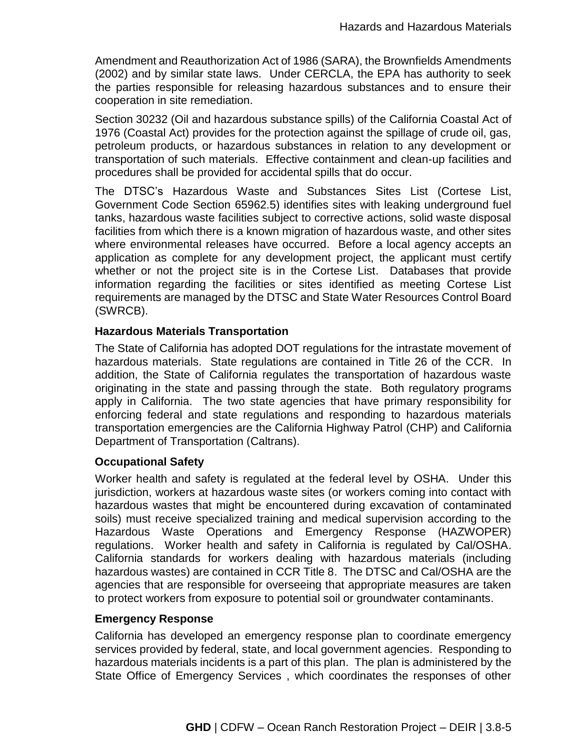Amendment and Reauthorization Act of 1986 (SARA), the Brownfields Amendments (2002) and by similar state laws. Under CERCLA, the EPA has authority to seek the parties responsible for releasing hazardous substances and to ensure their cooperation in site remediation.

Section 30232 (Oil and hazardous substance spills) of the California Coastal Act of 1976 (Coastal Act) provides for the protection against the spillage of crude oil, gas, petroleum products, or hazardous substances in relation to any development or transportation of such materials. Effective containment and clean-up facilities and procedures shall be provided for accidental spills that do occur.

The DTSC's Hazardous Waste and Substances Sites List (Cortese List, Government Code Section 65962.5) identifies sites with leaking underground fuel tanks, hazardous waste facilities subject to corrective actions, solid waste disposal facilities from which there is a known migration of hazardous waste, and other sites where environmental releases have occurred. Before a local agency accepts an application as complete for any development project, the applicant must certify whether or not the project site is in the Cortese List. Databases that provide information regarding the facilities or sites identified as meeting Cortese List requirements are managed by the DTSC and State Water Resources Control Board (SWRCB).

#### **Hazardous Materials Transportation**

The State of California has adopted DOT regulations for the intrastate movement of hazardous materials. State regulations are contained in Title 26 of the CCR. In addition, the State of California regulates the transportation of hazardous waste originating in the state and passing through the state. Both regulatory programs apply in California. The two state agencies that have primary responsibility for enforcing federal and state regulations and responding to hazardous materials transportation emergencies are the California Highway Patrol (CHP) and California Department of Transportation (Caltrans).

# **Occupational Safety**

Worker health and safety is regulated at the federal level by OSHA. Under this jurisdiction, workers at hazardous waste sites (or workers coming into contact with hazardous wastes that might be encountered during excavation of contaminated soils) must receive specialized training and medical supervision according to the Hazardous Waste Operations and Emergency Response (HAZWOPER) regulations. Worker health and safety in California is regulated by Cal/OSHA. California standards for workers dealing with hazardous materials (including hazardous wastes) are contained in CCR Title 8. The DTSC and Cal/OSHA are the agencies that are responsible for overseeing that appropriate measures are taken to protect workers from exposure to potential soil or groundwater contaminants.

#### **Emergency Response**

California has developed an emergency response plan to coordinate emergency services provided by federal, state, and local government agencies. Responding to hazardous materials incidents is a part of this plan. The plan is administered by the State Office of Emergency Services , which coordinates the responses of other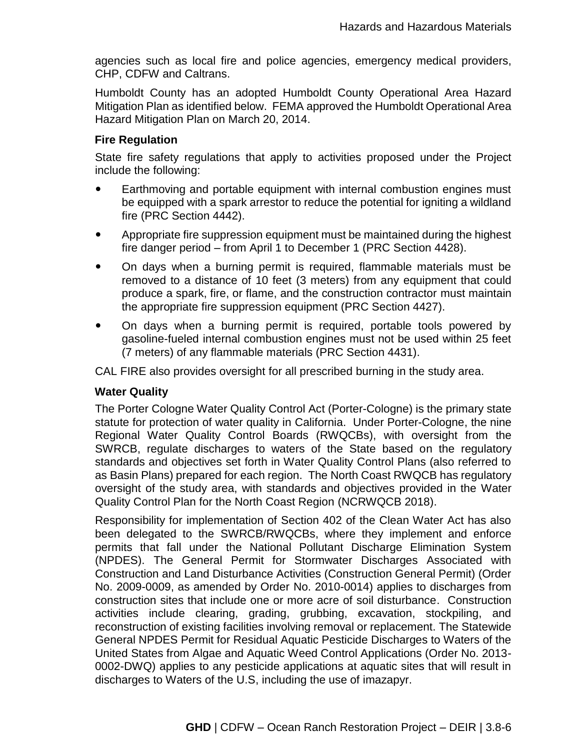agencies such as local fire and police agencies, emergency medical providers, CHP, CDFW and Caltrans.

Humboldt County has an adopted Humboldt County Operational Area Hazard Mitigation Plan as identified below. FEMA approved the Humboldt Operational Area Hazard Mitigation Plan on March 20, 2014.

#### **Fire Regulation**

State fire safety regulations that apply to activities proposed under the Project include the following:

- Earthmoving and portable equipment with internal combustion engines must be equipped with a spark arrestor to reduce the potential for igniting a wildland fire (PRC Section 4442).
- Appropriate fire suppression equipment must be maintained during the highest fire danger period – from April 1 to December 1 (PRC Section 4428).
- On days when a burning permit is required, flammable materials must be removed to a distance of 10 feet (3 meters) from any equipment that could produce a spark, fire, or flame, and the construction contractor must maintain the appropriate fire suppression equipment (PRC Section 4427).
- On days when a burning permit is required, portable tools powered by gasoline-fueled internal combustion engines must not be used within 25 feet (7 meters) of any flammable materials (PRC Section 4431).

CAL FIRE also provides oversight for all prescribed burning in the study area.

# **Water Quality**

The Porter Cologne Water Quality Control Act (Porter-Cologne) is the primary state statute for protection of water quality in California. Under Porter-Cologne, the nine Regional Water Quality Control Boards (RWQCBs), with oversight from the SWRCB, regulate discharges to waters of the State based on the regulatory standards and objectives set forth in Water Quality Control Plans (also referred to as Basin Plans) prepared for each region. The North Coast RWQCB has regulatory oversight of the study area, with standards and objectives provided in the Water Quality Control Plan for the North Coast Region (NCRWQCB 2018).

Responsibility for implementation of Section 402 of the Clean Water Act has also been delegated to the SWRCB/RWQCBs, where they implement and enforce permits that fall under the National Pollutant Discharge Elimination System (NPDES). The General Permit for Stormwater Discharges Associated with Construction and Land Disturbance Activities (Construction General Permit) (Order No. 2009-0009, as amended by Order No. 2010-0014) applies to discharges from construction sites that include one or more acre of soil disturbance. Construction activities include clearing, grading, grubbing, excavation, stockpiling, and reconstruction of existing facilities involving removal or replacement. The Statewide General NPDES Permit for Residual Aquatic Pesticide Discharges to Waters of the United States from Algae and Aquatic Weed Control Applications (Order No. 2013- 0002-DWQ) applies to any pesticide applications at aquatic sites that will result in discharges to Waters of the U.S, including the use of imazapyr.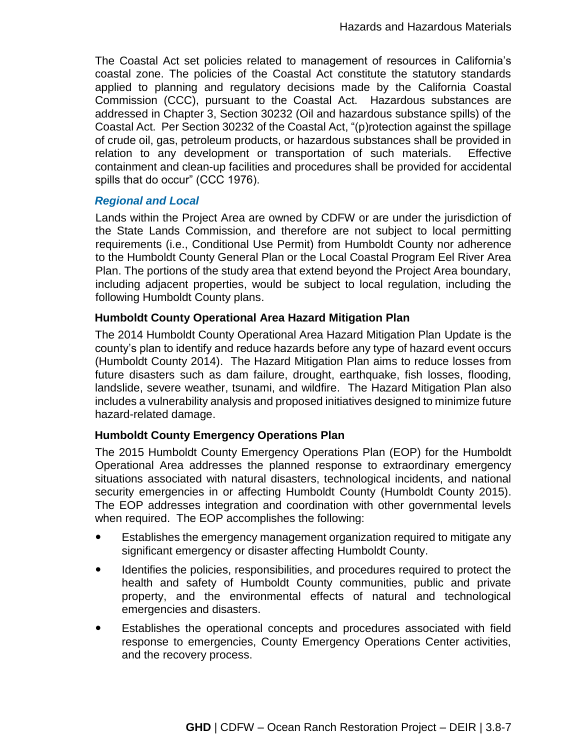The Coastal Act set policies related to management of resources in California's coastal zone. The policies of the Coastal Act constitute the statutory standards applied to planning and regulatory decisions made by the California Coastal Commission (CCC), pursuant to the Coastal Act. Hazardous substances are addressed in Chapter 3, Section 30232 (Oil and hazardous substance spills) of the Coastal Act. Per Section 30232 of the Coastal Act, "(p)rotection against the spillage of crude oil, gas, petroleum products, or hazardous substances shall be provided in relation to any development or transportation of such materials. Effective containment and clean-up facilities and procedures shall be provided for accidental spills that do occur" (CCC 1976).

#### *Regional and Local*

Lands within the Project Area are owned by CDFW or are under the jurisdiction of the State Lands Commission, and therefore are not subject to local permitting requirements (i.e., Conditional Use Permit) from Humboldt County nor adherence to the Humboldt County General Plan or the Local Coastal Program Eel River Area Plan. The portions of the study area that extend beyond the Project Area boundary, including adjacent properties, would be subject to local regulation, including the following Humboldt County plans.

# **Humboldt County Operational Area Hazard Mitigation Plan**

The 2014 Humboldt County Operational Area Hazard Mitigation Plan Update is the county's plan to identify and reduce hazards before any type of hazard event occurs (Humboldt County 2014). The Hazard Mitigation Plan aims to reduce losses from future disasters such as dam failure, drought, earthquake, fish losses, flooding, landslide, severe weather, tsunami, and wildfire. The Hazard Mitigation Plan also includes a vulnerability analysis and proposed initiatives designed to minimize future hazard-related damage.

# **Humboldt County Emergency Operations Plan**

The 2015 Humboldt County Emergency Operations Plan (EOP) for the Humboldt Operational Area addresses the planned response to extraordinary emergency situations associated with natural disasters, technological incidents, and national security emergencies in or affecting Humboldt County (Humboldt County 2015). The EOP addresses integration and coordination with other governmental levels when required. The EOP accomplishes the following:

- Establishes the emergency management organization required to mitigate any significant emergency or disaster affecting Humboldt County.
- Identifies the policies, responsibilities, and procedures required to protect the health and safety of Humboldt County communities, public and private property, and the environmental effects of natural and technological emergencies and disasters.
- Establishes the operational concepts and procedures associated with field response to emergencies, County Emergency Operations Center activities, and the recovery process.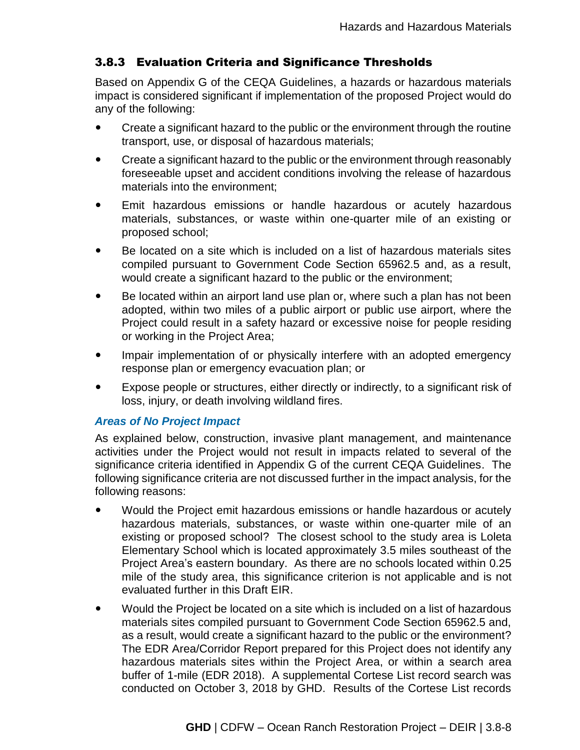# 3.8.3 Evaluation Criteria and Significance Thresholds

Based on Appendix G of the CEQA Guidelines, a hazards or hazardous materials impact is considered significant if implementation of the proposed Project would do any of the following:

- Create a significant hazard to the public or the environment through the routine transport, use, or disposal of hazardous materials;
- Create a significant hazard to the public or the environment through reasonably foreseeable upset and accident conditions involving the release of hazardous materials into the environment;
- Emit hazardous emissions or handle hazardous or acutely hazardous materials, substances, or waste within one-quarter mile of an existing or proposed school;
- Be located on a site which is included on a list of hazardous materials sites compiled pursuant to Government Code Section 65962.5 and, as a result, would create a significant hazard to the public or the environment;
- Be located within an airport land use plan or, where such a plan has not been adopted, within two miles of a public airport or public use airport, where the Project could result in a safety hazard or excessive noise for people residing or working in the Project Area;
- Impair implementation of or physically interfere with an adopted emergency response plan or emergency evacuation plan; or
- Expose people or structures, either directly or indirectly, to a significant risk of loss, injury, or death involving wildland fires.

# *Areas of No Project Impact*

As explained below, construction, invasive plant management, and maintenance activities under the Project would not result in impacts related to several of the significance criteria identified in Appendix G of the current CEQA Guidelines. The following significance criteria are not discussed further in the impact analysis, for the following reasons:

- Would the Project emit hazardous emissions or handle hazardous or acutely hazardous materials, substances, or waste within one-quarter mile of an existing or proposed school? The closest school to the study area is Loleta Elementary School which is located approximately 3.5 miles southeast of the Project Area's eastern boundary. As there are no schools located within 0.25 mile of the study area, this significance criterion is not applicable and is not evaluated further in this Draft EIR.
- Would the Project be located on a site which is included on a list of hazardous materials sites compiled pursuant to Government Code Section 65962.5 and, as a result, would create a significant hazard to the public or the environment? The EDR Area/Corridor Report prepared for this Project does not identify any hazardous materials sites within the Project Area, or within a search area buffer of 1-mile (EDR 2018). A supplemental Cortese List record search was conducted on October 3, 2018 by GHD. Results of the Cortese List records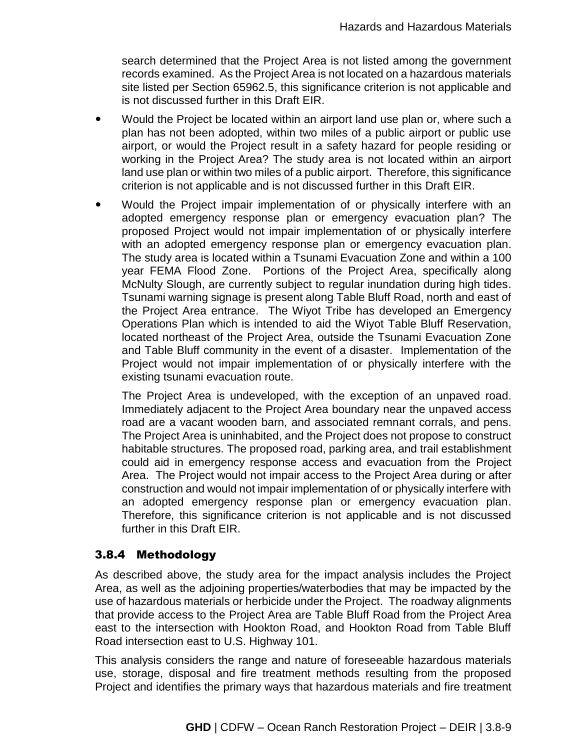search determined that the Project Area is not listed among the government records examined. As the Project Area is not located on a hazardous materials site listed per Section 65962.5, this significance criterion is not applicable and is not discussed further in this Draft EIR.

- Would the Project be located within an airport land use plan or, where such a plan has not been adopted, within two miles of a public airport or public use airport, or would the Project result in a safety hazard for people residing or working in the Project Area? The study area is not located within an airport land use plan or within two miles of a public airport. Therefore, this significance criterion is not applicable and is not discussed further in this Draft EIR.
- Would the Project impair implementation of or physically interfere with an adopted emergency response plan or emergency evacuation plan? The proposed Project would not impair implementation of or physically interfere with an adopted emergency response plan or emergency evacuation plan. The study area is located within a Tsunami Evacuation Zone and within a 100 year FEMA Flood Zone. Portions of the Project Area, specifically along McNulty Slough, are currently subject to regular inundation during high tides. Tsunami warning signage is present along Table Bluff Road, north and east of the Project Area entrance. The Wiyot Tribe has developed an Emergency Operations Plan which is intended to aid the Wiyot Table Bluff Reservation, located northeast of the Project Area, outside the Tsunami Evacuation Zone and Table Bluff community in the event of a disaster. Implementation of the Project would not impair implementation of or physically interfere with the existing tsunami evacuation route.

The Project Area is undeveloped, with the exception of an unpaved road. Immediately adjacent to the Project Area boundary near the unpaved access road are a vacant wooden barn, and associated remnant corrals, and pens. The Project Area is uninhabited, and the Project does not propose to construct habitable structures. The proposed road, parking area, and trail establishment could aid in emergency response access and evacuation from the Project Area. The Project would not impair access to the Project Area during or after construction and would not impair implementation of or physically interfere with an adopted emergency response plan or emergency evacuation plan. Therefore, this significance criterion is not applicable and is not discussed further in this Draft EIR.

# 3.8.4 Methodology

As described above, the study area for the impact analysis includes the Project Area, as well as the adjoining properties/waterbodies that may be impacted by the use of hazardous materials or herbicide under the Project. The roadway alignments that provide access to the Project Area are Table Bluff Road from the Project Area east to the intersection with Hookton Road, and Hookton Road from Table Bluff Road intersection east to U.S. Highway 101.

This analysis considers the range and nature of foreseeable hazardous materials use, storage, disposal and fire treatment methods resulting from the proposed Project and identifies the primary ways that hazardous materials and fire treatment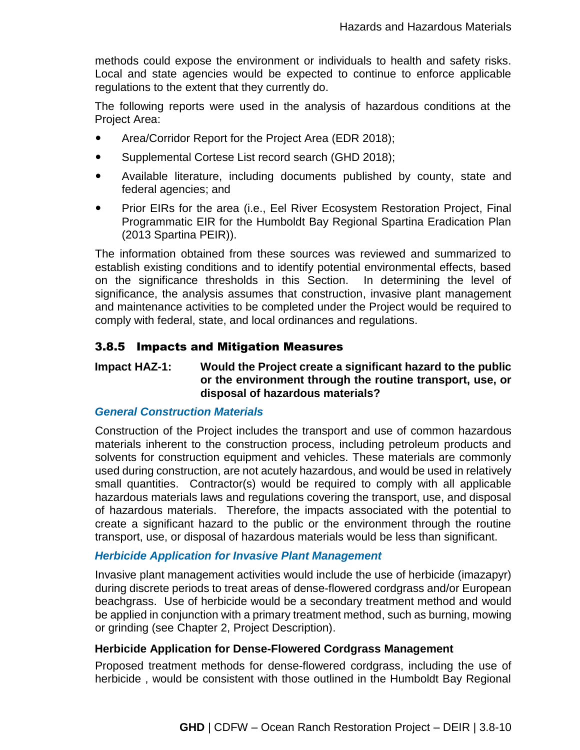methods could expose the environment or individuals to health and safety risks. Local and state agencies would be expected to continue to enforce applicable regulations to the extent that they currently do.

The following reports were used in the analysis of hazardous conditions at the Project Area:

- Area/Corridor Report for the Project Area (EDR 2018);
- Supplemental Cortese List record search (GHD 2018);
- Available literature, including documents published by county, state and federal agencies; and
- Prior EIRs for the area (i.e., Eel River Ecosystem Restoration Project, Final Programmatic EIR for the Humboldt Bay Regional Spartina Eradication Plan (2013 Spartina PEIR)).

The information obtained from these sources was reviewed and summarized to establish existing conditions and to identify potential environmental effects, based on the significance thresholds in this Section. In determining the level of significance, the analysis assumes that construction, invasive plant management and maintenance activities to be completed under the Project would be required to comply with federal, state, and local ordinances and regulations.

# 3.8.5 Impacts and Mitigation Measures

# **Impact HAZ-1: Would the Project create a significant hazard to the public or the environment through the routine transport, use, or disposal of hazardous materials?**

# *General Construction Materials*

Construction of the Project includes the transport and use of common hazardous materials inherent to the construction process, including petroleum products and solvents for construction equipment and vehicles. These materials are commonly used during construction, are not acutely hazardous, and would be used in relatively small quantities. Contractor(s) would be required to comply with all applicable hazardous materials laws and regulations covering the transport, use, and disposal of hazardous materials. Therefore, the impacts associated with the potential to create a significant hazard to the public or the environment through the routine transport, use, or disposal of hazardous materials would be less than significant.

# *Herbicide Application for Invasive Plant Management*

Invasive plant management activities would include the use of herbicide (imazapyr) during discrete periods to treat areas of dense-flowered cordgrass and/or European beachgrass. Use of herbicide would be a secondary treatment method and would be applied in conjunction with a primary treatment method, such as burning, mowing or grinding (see Chapter 2, Project Description).

# **Herbicide Application for Dense-Flowered Cordgrass Management**

Proposed treatment methods for dense-flowered cordgrass, including the use of herbicide , would be consistent with those outlined in the Humboldt Bay Regional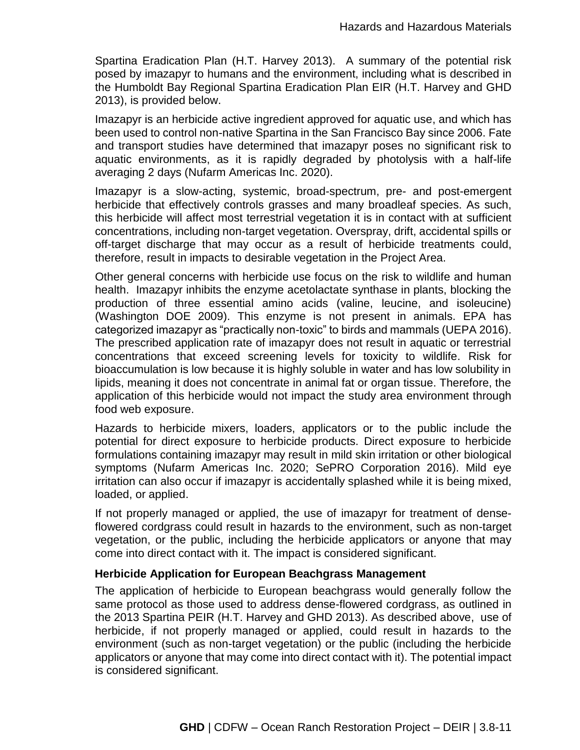Spartina Eradication Plan (H.T. Harvey 2013). A summary of the potential risk posed by imazapyr to humans and the environment, including what is described in the Humboldt Bay Regional Spartina Eradication Plan EIR (H.T. Harvey and GHD 2013), is provided below.

Imazapyr is an herbicide active ingredient approved for aquatic use, and which has been used to control non-native Spartina in the San Francisco Bay since 2006. Fate and transport studies have determined that imazapyr poses no significant risk to aquatic environments, as it is rapidly degraded by photolysis with a half-life averaging 2 days (Nufarm Americas Inc. 2020).

Imazapyr is a slow-acting, systemic, broad-spectrum, pre- and post-emergent herbicide that effectively controls grasses and many broadleaf species. As such, this herbicide will affect most terrestrial vegetation it is in contact with at sufficient concentrations, including non-target vegetation. Overspray, drift, accidental spills or off-target discharge that may occur as a result of herbicide treatments could, therefore, result in impacts to desirable vegetation in the Project Area.

Other general concerns with herbicide use focus on the risk to wildlife and human health. Imazapyr inhibits the enzyme acetolactate synthase in plants, blocking the production of three essential amino acids (valine, leucine, and isoleucine) (Washington DOE 2009). This enzyme is not present in animals. EPA has categorized imazapyr as "practically non-toxic" to birds and mammals (UEPA 2016). The prescribed application rate of imazapyr does not result in aquatic or terrestrial concentrations that exceed screening levels for toxicity to wildlife. Risk for bioaccumulation is low because it is highly soluble in water and has low solubility in lipids, meaning it does not concentrate in animal fat or organ tissue. Therefore, the application of this herbicide would not impact the study area environment through food web exposure.

Hazards to herbicide mixers, loaders, applicators or to the public include the potential for direct exposure to herbicide products. Direct exposure to herbicide formulations containing imazapyr may result in mild skin irritation or other biological symptoms (Nufarm Americas Inc. 2020; SePRO Corporation 2016). Mild eye irritation can also occur if imazapyr is accidentally splashed while it is being mixed, loaded, or applied.

If not properly managed or applied, the use of imazapyr for treatment of denseflowered cordgrass could result in hazards to the environment, such as non-target vegetation, or the public, including the herbicide applicators or anyone that may come into direct contact with it. The impact is considered significant.

# **Herbicide Application for European Beachgrass Management**

The application of herbicide to European beachgrass would generally follow the same protocol as those used to address dense-flowered cordgrass, as outlined in the 2013 Spartina PEIR (H.T. Harvey and GHD 2013). As described above, use of herbicide, if not properly managed or applied, could result in hazards to the environment (such as non-target vegetation) or the public (including the herbicide applicators or anyone that may come into direct contact with it). The potential impact is considered significant.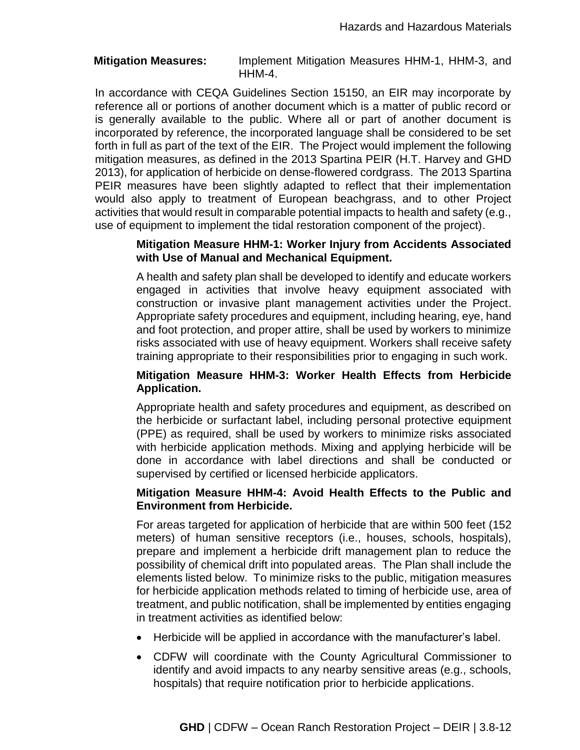**Mitigation Measures:** Implement Mitigation Measures HHM-1, HHM-3, and HHM-4.

In accordance with CEQA Guidelines Section 15150, an EIR may incorporate by reference all or portions of another document which is a matter of public record or is generally available to the public. Where all or part of another document is incorporated by reference, the incorporated language shall be considered to be set forth in full as part of the text of the EIR. The Project would implement the following mitigation measures, as defined in the 2013 Spartina PEIR (H.T. Harvey and GHD 2013), for application of herbicide on dense-flowered cordgrass. The 2013 Spartina PEIR measures have been slightly adapted to reflect that their implementation would also apply to treatment of European beachgrass, and to other Project activities that would result in comparable potential impacts to health and safety (e.g., use of equipment to implement the tidal restoration component of the project).

#### **Mitigation Measure HHM-1: Worker Injury from Accidents Associated with Use of Manual and Mechanical Equipment.**

A health and safety plan shall be developed to identify and educate workers engaged in activities that involve heavy equipment associated with construction or invasive plant management activities under the Project. Appropriate safety procedures and equipment, including hearing, eye, hand and foot protection, and proper attire, shall be used by workers to minimize risks associated with use of heavy equipment. Workers shall receive safety training appropriate to their responsibilities prior to engaging in such work.

# **Mitigation Measure HHM-3: Worker Health Effects from Herbicide Application.**

Appropriate health and safety procedures and equipment, as described on the herbicide or surfactant label, including personal protective equipment (PPE) as required, shall be used by workers to minimize risks associated with herbicide application methods. Mixing and applying herbicide will be done in accordance with label directions and shall be conducted or supervised by certified or licensed herbicide applicators.

# **Mitigation Measure HHM-4: Avoid Health Effects to the Public and Environment from Herbicide.**

For areas targeted for application of herbicide that are within 500 feet (152 meters) of human sensitive receptors (i.e., houses, schools, hospitals), prepare and implement a herbicide drift management plan to reduce the possibility of chemical drift into populated areas. The Plan shall include the elements listed below. To minimize risks to the public, mitigation measures for herbicide application methods related to timing of herbicide use, area of treatment, and public notification, shall be implemented by entities engaging in treatment activities as identified below:

- Herbicide will be applied in accordance with the manufacturer's label.
- CDFW will coordinate with the County Agricultural Commissioner to identify and avoid impacts to any nearby sensitive areas (e.g., schools, hospitals) that require notification prior to herbicide applications.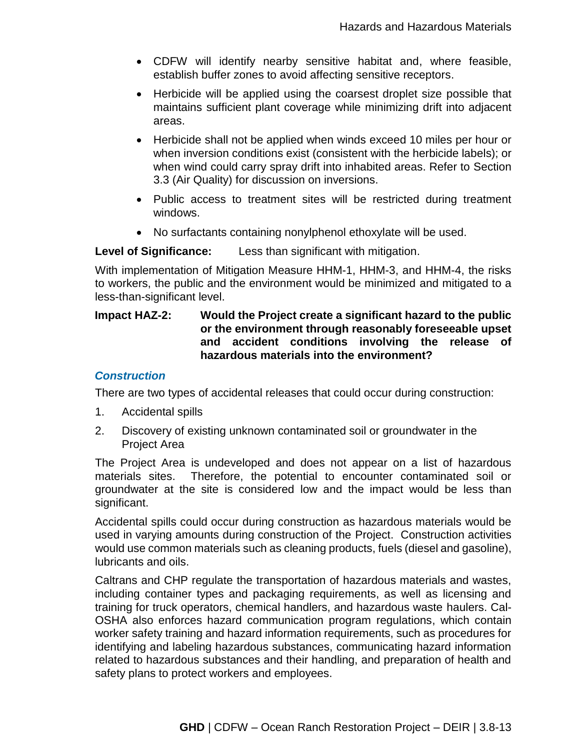- CDFW will identify nearby sensitive habitat and, where feasible, establish buffer zones to avoid affecting sensitive receptors.
- Herbicide will be applied using the coarsest droplet size possible that maintains sufficient plant coverage while minimizing drift into adjacent areas.
- Herbicide shall not be applied when winds exceed 10 miles per hour or when inversion conditions exist (consistent with the herbicide labels); or when wind could carry spray drift into inhabited areas. Refer to Section 3.3 (Air Quality) for discussion on inversions.
- Public access to treatment sites will be restricted during treatment windows.
- No surfactants containing nonylphenol ethoxylate will be used.

**Level of Significance:** Less than significant with mitigation.

With implementation of Mitigation Measure HHM-1, HHM-3, and HHM-4, the risks to workers, the public and the environment would be minimized and mitigated to a less-than-significant level.

# **Impact HAZ-2: Would the Project create a significant hazard to the public or the environment through reasonably foreseeable upset and accident conditions involving the release of hazardous materials into the environment?**

#### *Construction*

There are two types of accidental releases that could occur during construction:

- 1. Accidental spills
- 2. Discovery of existing unknown contaminated soil or groundwater in the Project Area

The Project Area is undeveloped and does not appear on a list of hazardous materials sites. Therefore, the potential to encounter contaminated soil or groundwater at the site is considered low and the impact would be less than significant.

Accidental spills could occur during construction as hazardous materials would be used in varying amounts during construction of the Project. Construction activities would use common materials such as cleaning products, fuels (diesel and gasoline), lubricants and oils.

Caltrans and CHP regulate the transportation of hazardous materials and wastes, including container types and packaging requirements, as well as licensing and training for truck operators, chemical handlers, and hazardous waste haulers. Cal-OSHA also enforces hazard communication program regulations, which contain worker safety training and hazard information requirements, such as procedures for identifying and labeling hazardous substances, communicating hazard information related to hazardous substances and their handling, and preparation of health and safety plans to protect workers and employees.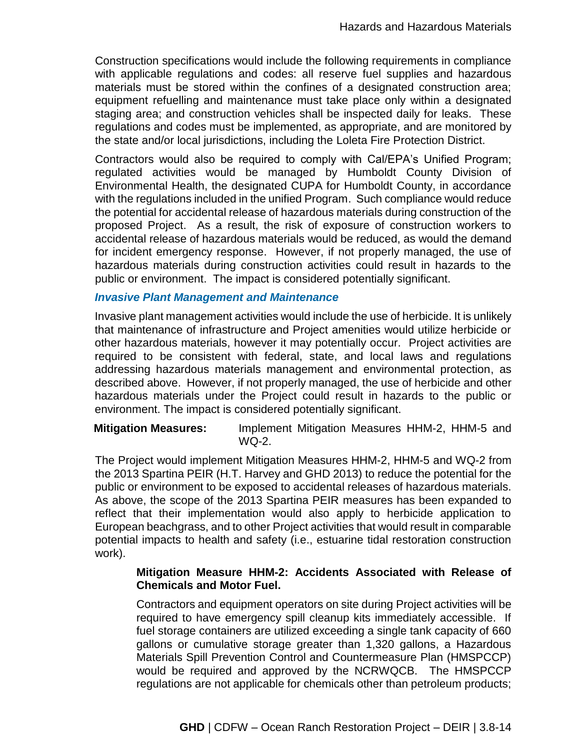Construction specifications would include the following requirements in compliance with applicable regulations and codes: all reserve fuel supplies and hazardous materials must be stored within the confines of a designated construction area; equipment refuelling and maintenance must take place only within a designated staging area; and construction vehicles shall be inspected daily for leaks. These regulations and codes must be implemented, as appropriate, and are monitored by the state and/or local jurisdictions, including the Loleta Fire Protection District.

Contractors would also be required to comply with Cal/EPA's Unified Program; regulated activities would be managed by Humboldt County Division of Environmental Health, the designated CUPA for Humboldt County, in accordance with the regulations included in the unified Program. Such compliance would reduce the potential for accidental release of hazardous materials during construction of the proposed Project. As a result, the risk of exposure of construction workers to accidental release of hazardous materials would be reduced, as would the demand for incident emergency response. However, if not properly managed, the use of hazardous materials during construction activities could result in hazards to the public or environment. The impact is considered potentially significant.

#### *Invasive Plant Management and Maintenance*

Invasive plant management activities would include the use of herbicide. It is unlikely that maintenance of infrastructure and Project amenities would utilize herbicide or other hazardous materials, however it may potentially occur. Project activities are required to be consistent with federal, state, and local laws and regulations addressing hazardous materials management and environmental protection, as described above. However, if not properly managed, the use of herbicide and other hazardous materials under the Project could result in hazards to the public or environment. The impact is considered potentially significant.

**Mitigation Measures:** Implement Mitigation Measures HHM-2, HHM-5 and WQ-2.

The Project would implement Mitigation Measures HHM-2, HHM-5 and WQ-2 from the 2013 Spartina PEIR (H.T. Harvey and GHD 2013) to reduce the potential for the public or environment to be exposed to accidental releases of hazardous materials. As above, the scope of the 2013 Spartina PEIR measures has been expanded to reflect that their implementation would also apply to herbicide application to European beachgrass, and to other Project activities that would result in comparable potential impacts to health and safety (i.e., estuarine tidal restoration construction work).

# **Mitigation Measure HHM-2: Accidents Associated with Release of Chemicals and Motor Fuel.**

Contractors and equipment operators on site during Project activities will be required to have emergency spill cleanup kits immediately accessible. If fuel storage containers are utilized exceeding a single tank capacity of 660 gallons or cumulative storage greater than 1,320 gallons, a Hazardous Materials Spill Prevention Control and Countermeasure Plan (HMSPCCP) would be required and approved by the NCRWQCB. The HMSPCCP regulations are not applicable for chemicals other than petroleum products;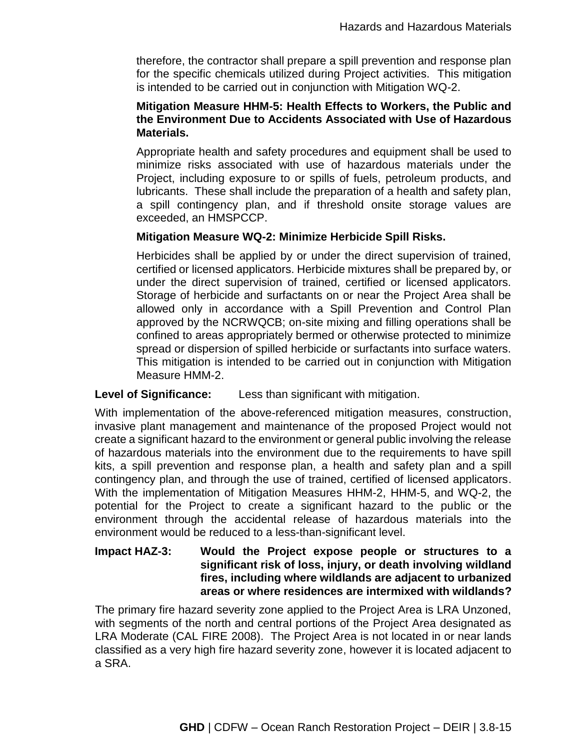therefore, the contractor shall prepare a spill prevention and response plan for the specific chemicals utilized during Project activities. This mitigation is intended to be carried out in conjunction with Mitigation WQ-2.

# **Mitigation Measure HHM-5: Health Effects to Workers, the Public and the Environment Due to Accidents Associated with Use of Hazardous Materials.**

Appropriate health and safety procedures and equipment shall be used to minimize risks associated with use of hazardous materials under the Project, including exposure to or spills of fuels, petroleum products, and lubricants. These shall include the preparation of a health and safety plan, a spill contingency plan, and if threshold onsite storage values are exceeded, an HMSPCCP.

# **Mitigation Measure WQ-2: Minimize Herbicide Spill Risks.**

Herbicides shall be applied by or under the direct supervision of trained, certified or licensed applicators. Herbicide mixtures shall be prepared by, or under the direct supervision of trained, certified or licensed applicators. Storage of herbicide and surfactants on or near the Project Area shall be allowed only in accordance with a Spill Prevention and Control Plan approved by the NCRWQCB; on-site mixing and filling operations shall be confined to areas appropriately bermed or otherwise protected to minimize spread or dispersion of spilled herbicide or surfactants into surface waters. This mitigation is intended to be carried out in conjunction with Mitigation Measure HMM-2.

# **Level of Significance:** Less than significant with mitigation.

With implementation of the above-referenced mitigation measures, construction, invasive plant management and maintenance of the proposed Project would not create a significant hazard to the environment or general public involving the release of hazardous materials into the environment due to the requirements to have spill kits, a spill prevention and response plan, a health and safety plan and a spill contingency plan, and through the use of trained, certified of licensed applicators. With the implementation of Mitigation Measures HHM-2, HHM-5, and WQ-2, the potential for the Project to create a significant hazard to the public or the environment through the accidental release of hazardous materials into the environment would be reduced to a less-than-significant level.

# **Impact HAZ-3: Would the Project expose people or structures to a significant risk of loss, injury, or death involving wildland fires, including where wildlands are adjacent to urbanized areas or where residences are intermixed with wildlands?**

The primary fire hazard severity zone applied to the Project Area is LRA Unzoned, with segments of the north and central portions of the Project Area designated as LRA Moderate (CAL FIRE 2008). The Project Area is not located in or near lands classified as a very high fire hazard severity zone, however it is located adjacent to a SRA.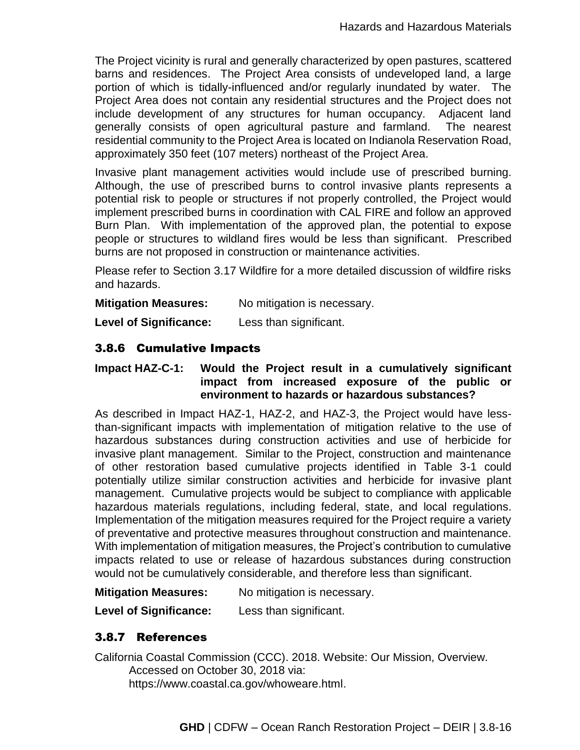The Project vicinity is rural and generally characterized by open pastures, scattered barns and residences. The Project Area consists of undeveloped land, a large portion of which is tidally-influenced and/or regularly inundated by water. The Project Area does not contain any residential structures and the Project does not include development of any structures for human occupancy. Adjacent land generally consists of open agricultural pasture and farmland. The nearest residential community to the Project Area is located on Indianola Reservation Road, approximately 350 feet (107 meters) northeast of the Project Area.

Invasive plant management activities would include use of prescribed burning. Although, the use of prescribed burns to control invasive plants represents a potential risk to people or structures if not properly controlled, the Project would implement prescribed burns in coordination with CAL FIRE and follow an approved Burn Plan. With implementation of the approved plan, the potential to expose people or structures to wildland fires would be less than significant. Prescribed burns are not proposed in construction or maintenance activities.

Please refer to Section 3.17 Wildfire for a more detailed discussion of wildfire risks and hazards.

**Mitigation Measures:** No mitigation is necessary.

**Level of Significance:** Less than significant.

# 3.8.6 Cumulative Impacts

# **Impact HAZ-C-1: Would the Project result in a cumulatively significant impact from increased exposure of the public or environment to hazards or hazardous substances?**

As described in Impact HAZ-1, HAZ-2, and HAZ-3, the Project would have lessthan-significant impacts with implementation of mitigation relative to the use of hazardous substances during construction activities and use of herbicide for invasive plant management. Similar to the Project, construction and maintenance of other restoration based cumulative projects identified in Table 3-1 could potentially utilize similar construction activities and herbicide for invasive plant management. Cumulative projects would be subject to compliance with applicable hazardous materials regulations, including federal, state, and local regulations. Implementation of the mitigation measures required for the Project require a variety of preventative and protective measures throughout construction and maintenance. With implementation of mitigation measures, the Project's contribution to cumulative impacts related to use or release of hazardous substances during construction would not be cumulatively considerable, and therefore less than significant.

**Mitigation Measures:** No mitigation is necessary.

**Level of Significance:** Less than significant.

# 3.8.7 References

California Coastal Commission (CCC). 2018. Website: Our Mission, Overview. Accessed on October 30, 2018 via: https://www.coastal.ca.gov/whoweare.html.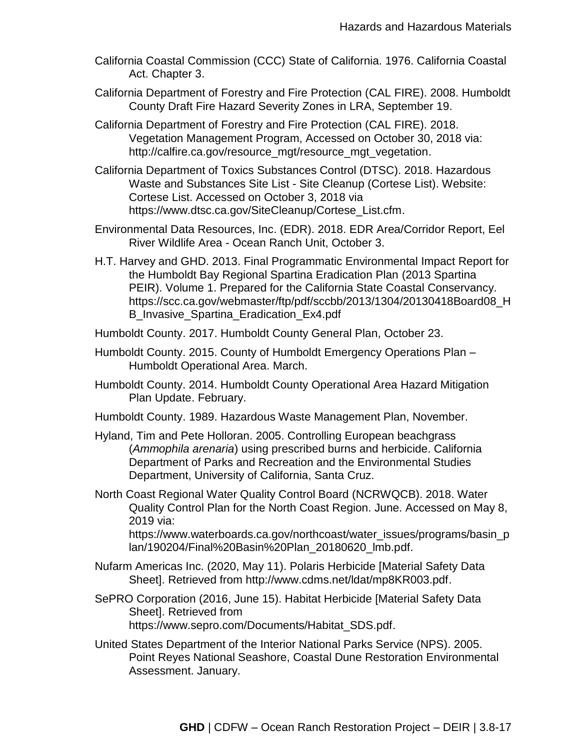- California Coastal Commission (CCC) State of California. 1976. California Coastal Act. Chapter 3.
- California Department of Forestry and Fire Protection (CAL FIRE). 2008. Humboldt County Draft Fire Hazard Severity Zones in LRA, September 19.
- California Department of Forestry and Fire Protection (CAL FIRE). 2018. Vegetation Management Program, Accessed on October 30, 2018 via: http://calfire.ca.gov/resource\_mgt/resource\_mgt\_vegetation.
- California Department of Toxics Substances Control (DTSC). 2018. Hazardous Waste and Substances Site List - Site Cleanup (Cortese List). Website: Cortese List. Accessed on October 3, 2018 via https://www.dtsc.ca.gov/SiteCleanup/Cortese\_List.cfm.
- Environmental Data Resources, Inc. (EDR). 2018. EDR Area/Corridor Report, Eel River Wildlife Area - Ocean Ranch Unit, October 3.
- H.T. Harvey and GHD. 2013. Final Programmatic Environmental Impact Report for the Humboldt Bay Regional Spartina Eradication Plan (2013 Spartina PEIR). Volume 1. Prepared for the California State Coastal Conservancy. https://scc.ca.gov/webmaster/ftp/pdf/sccbb/2013/1304/20130418Board08\_H B Invasive Spartina Eradication Ex4.pdf
- Humboldt County. 2017. Humboldt County General Plan, October 23.
- Humboldt County. 2015. County of Humboldt Emergency Operations Plan Humboldt Operational Area. March.
- Humboldt County. 2014. Humboldt County Operational Area Hazard Mitigation Plan Update. February.
- Humboldt County. 1989. Hazardous Waste Management Plan, November.
- Hyland, Tim and Pete Holloran. 2005. Controlling European beachgrass (*Ammophila arenaria*) using prescribed burns and herbicide. California Department of Parks and Recreation and the Environmental Studies Department, University of California, Santa Cruz.
- North Coast Regional Water Quality Control Board (NCRWQCB). 2018. Water Quality Control Plan for the North Coast Region. June. Accessed on May 8, 2019 via: https://www.waterboards.ca.gov/northcoast/water\_issues/programs/basin\_p lan/190204/Final%20Basin%20Plan\_20180620\_lmb.pdf.
- Nufarm Americas Inc. (2020, May 11). Polaris Herbicide [Material Safety Data Sheet]. Retrieved from http://www.cdms.net/ldat/mp8KR003.pdf.
- SePRO Corporation (2016, June 15). Habitat Herbicide [Material Safety Data Sheet]. Retrieved from https://www.sepro.com/Documents/Habitat\_SDS.pdf.
- United States Department of the Interior National Parks Service (NPS). 2005. Point Reyes National Seashore, Coastal Dune Restoration Environmental Assessment. January.